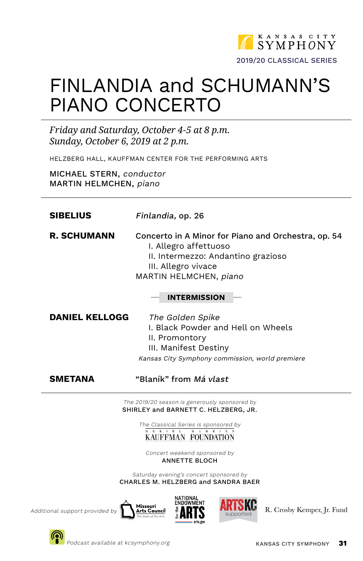

# FINLANDIA and SCHUMANN'S PIANO CONCERTO

*Friday and Saturday, October 4-5 at 8 p.m. Sunday, October 6, 2019 at 2 p.m.*

HELZBERG HALL, KAUFFMAN CENTER FOR THE PERFORMING ARTS

MICHAEL STERN, conductor MARTIN HELMCHEN, piano

| Finlandia, op. 26                                                                                                                                                                                                                                                                                |
|--------------------------------------------------------------------------------------------------------------------------------------------------------------------------------------------------------------------------------------------------------------------------------------------------|
| Concerto in A Minor for Piano and Orchestra, op. 54<br>I. Allegro affettuoso<br>II. Intermezzo: Andantino grazioso<br>III. Allegro vivace<br>MARTIN HELMCHEN, piano<br><b>INTERMISSION</b>                                                                                                       |
| The Golden Spike<br>I. Black Powder and Hell on Wheels<br>II. Promontory<br>III. Manifest Destiny<br>Kansas City Symphony commission, world premiere                                                                                                                                             |
| "Blaník" from <i>Má vlast</i>                                                                                                                                                                                                                                                                    |
| The 2019/20 season is generously sponsored by<br>SHIRLEY and BARNETT C. HELZBERG, JR.<br>The Classical Series is sponsored by<br>$\frac{1}{M}$ U R I E L M e B R I E N<br>KAUFFMAN FOUNDATION<br>Concert weekend sponsored by<br><b>ANNETTE BLOCH</b><br>Saturday evening's concert sponsored by |
|                                                                                                                                                                                                                                                                                                  |

Saturday evening's concert sponsored by CHARLES M. HELZBERG and SANDRA BAER





Additional support provided by  $\bigcap_{k=1}^{\infty}$  Missouri  $\bigoplus_{k=1}^{\infty} \mathbb{R}$   $\mathbb{R}$   $\bigotimes_{k=1}^{\infty} \mathbb{R}$ . Crosby Kemper, Jr. Fund

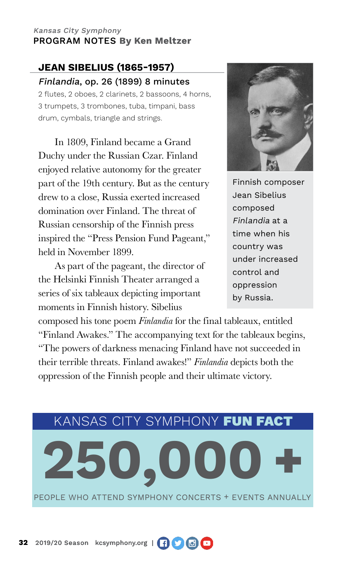## **JEAN SIBELIUS (1865-1957)** Finlandia, op. 26 (1899) 8 minutes

2 flutes, 2 oboes, 2 clarinets, 2 bassoons, 4 horns, 3 trumpets, 3 trombones, tuba, timpani, bass drum, cymbals, triangle and strings.

In 1809, Finland became a Grand Duchy under the Russian Czar. Finland enjoyed relative autonomy for the greater part of the 19th century. But as the century drew to a close, Russia exerted increased domination over Finland. The threat of Russian censorship of the Finnish press inspired the "Press Pension Fund Pageant," held in November 1899.

As part of the pageant, the director of the Helsinki Finnish Theater arranged a series of six tableaux depicting important moments in Finnish history. Sibelius



Finnish composer Jean Sibelius composed Finlandia at a time when his country was under increased control and oppression by Russia.

composed his tone poem *Finlandia* for the final tableaux, entitled "Finland Awakes." The accompanying text for the tableaux begins, "The powers of darkness menacing Finland have not succeeded in their terrible threats. Finland awakes!" *Finlandia* depicts both the oppression of the Finnish people and their ultimate victory.

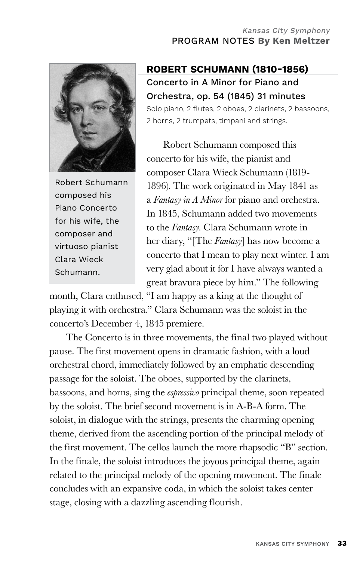

Robert Schumann composed his Piano Concerto for his wife, the composer and virtuoso pianist Clara Wieck Schumann.

# **ROBERT SCHUMANN (1810-1856)** Concerto in A Minor for Piano and Orchestra, op. 54 (1845) 31 minutes

Solo piano, 2 flutes, 2 oboes, 2 clarinets, 2 bassoons, 2 horns, 2 trumpets, timpani and strings.

Robert Schumann composed this concerto for his wife, the pianist and composer Clara Wieck Schumann (1819- 1896). The work originated in May 1841 as a *Fantasy in A Minor* for piano and orchestra. In 1845, Schumann added two movements to the *Fantasy*. Clara Schumann wrote in her diary, "[The *Fantasy*] has now become a concerto that I mean to play next winter. I am very glad about it for I have always wanted a great bravura piece by him." The following

month, Clara enthused, "I am happy as a king at the thought of playing it with orchestra." Clara Schumann was the soloist in the concerto's December 4, 1845 premiere.

The Concerto is in three movements, the final two played without pause. The first movement opens in dramatic fashion, with a loud orchestral chord, immediately followed by an emphatic descending passage for the soloist. The oboes, supported by the clarinets, bassoons, and horns, sing the *espressivo* principal theme, soon repeated by the soloist. The brief second movement is in A-B-A form. The soloist, in dialogue with the strings, presents the charming opening theme, derived from the ascending portion of the principal melody of the first movement. The cellos launch the more rhapsodic "B" section. In the finale, the soloist introduces the joyous principal theme, again related to the principal melody of the opening movement. The finale concludes with an expansive coda, in which the soloist takes center stage, closing with a dazzling ascending flourish.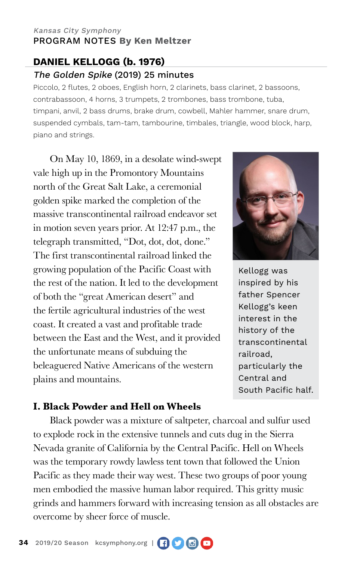## **DANIEL KELLOGG (b. 1976)** The Golden Spike (2019) 25 minutes

Piccolo, 2 flutes, 2 oboes, English horn, 2 clarinets, bass clarinet, 2 bassoons, contrabassoon, 4 horns, 3 trumpets, 2 trombones, bass trombone, tuba, timpani, anvil, 2 bass drums, brake drum, cowbell, Mahler hammer, snare drum, suspended cymbals, tam-tam, tambourine, timbales, triangle, wood block, harp, piano and strings.

On May 10, 1869, in a desolate wind-swept vale high up in the Promontory Mountains north of the Great Salt Lake, a ceremonial golden spike marked the completion of the massive transcontinental railroad endeavor set in motion seven years prior. At 12:47 p.m., the telegraph transmitted, "Dot, dot, dot, done." The first transcontinental railroad linked the growing population of the Pacific Coast with the rest of the nation. It led to the development of both the "great American desert" and the fertile agricultural industries of the west coast. It created a vast and profitable trade between the East and the West, and it provided the unfortunate means of subduing the beleaguered Native Americans of the western plains and mountains.



Kellogg was inspired by his father Spencer Kellogg's keen interest in the history of the transcontinental railroad, particularly the Central and South Pacific half.

### **I. Black Powder and Hell on Wheels**

Black powder was a mixture of saltpeter, charcoal and sulfur used to explode rock in the extensive tunnels and cuts dug in the Sierra Nevada granite of California by the Central Pacific. Hell on Wheels was the temporary rowdy lawless tent town that followed the Union Pacific as they made their way west. These two groups of poor young men embodied the massive human labor required. This gritty music grinds and hammers forward with increasing tension as all obstacles are overcome by sheer force of muscle.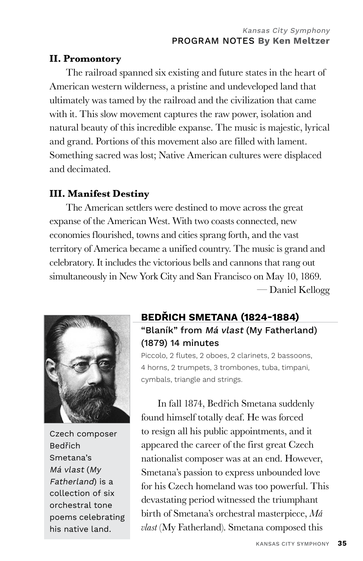#### **II. Promontory**

The railroad spanned six existing and future states in the heart of American western wilderness, a pristine and undeveloped land that ultimately was tamed by the railroad and the civilization that came with it. This slow movement captures the raw power, isolation and natural beauty of this incredible expanse. The music is majestic, lyrical and grand. Portions of this movement also are filled with lament. Something sacred was lost; Native American cultures were displaced and decimated.

## **III. Manifest Destiny**

The American settlers were destined to move across the great expanse of the American West. With two coasts connected, new economies flourished, towns and cities sprang forth, and the vast territory of America became a unified country. The music is grand and celebratory. It includes the victorious bells and cannons that rang out simultaneously in New York City and San Francisco on May 10, 1869. — Daniel Kellogg



Czech composer Bedřich Smetana's Má vlast (My Fatherland) is a collection of six orchestral tone poems celebrating his native land.

## **BEDŘICH SMETANA (1824-1884)** "Blaník" from Má vlast (My Fatherland) (1879) 14 minutes

Piccolo, 2 flutes, 2 oboes, 2 clarinets, 2 bassoons, 4 horns, 2 trumpets, 3 trombones, tuba, timpani, cymbals, triangle and strings.

In fall 1874, Bedřich Smetana suddenly found himself totally deaf. He was forced to resign all his public appointments, and it appeared the career of the first great Czech nationalist composer was at an end. However, Smetana's passion to express unbounded love for his Czech homeland was too powerful. This devastating period witnessed the triumphant birth of Smetana's orchestral masterpiece, *Má vlast* (My Fatherland). Smetana composed this